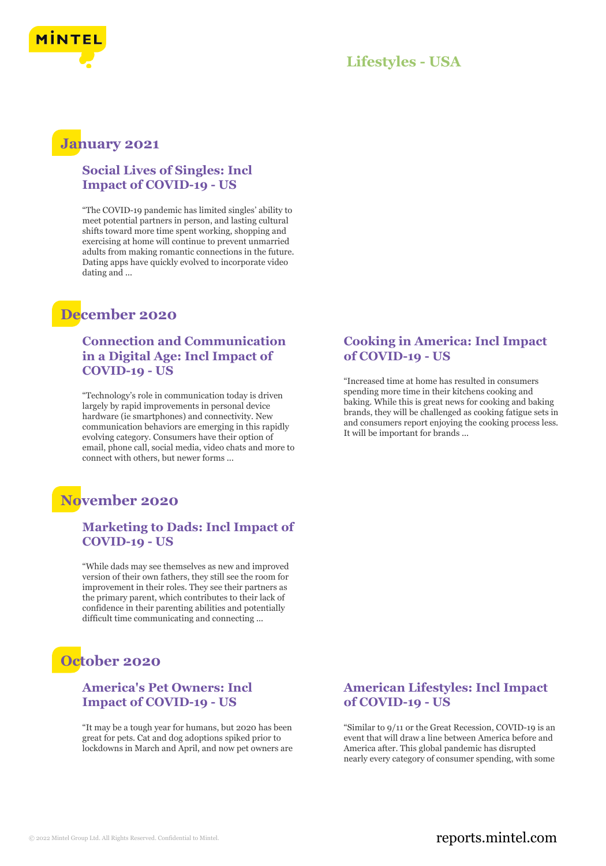

### **Lifestyles - USA**

### **January 2021**

### **Social Lives of Singles: Incl Impact of COVID-19 - US**

"The COVID-19 pandemic has limited singles' ability to meet potential partners in person, and lasting cultural shifts toward more time spent working, shopping and exercising at home will continue to prevent unmarried adults from making romantic connections in the future. Dating apps have quickly evolved to incorporate video dating and ...

## **December 2020**

### **Connection and Communication in a Digital Age: Incl Impact of COVID-19 - US**

"Technology's role in communication today is driven largely by rapid improvements in personal device hardware (ie smartphones) and connectivity. New communication behaviors are emerging in this rapidly evolving category. Consumers have their option of email, phone call, social media, video chats and more to connect with others, but newer forms ...

## **November 2020**

### **Marketing to Dads: Incl Impact of COVID-19 - US**

"While dads may see themselves as new and improved version of their own fathers, they still see the room for improvement in their roles. They see their partners as the primary parent, which contributes to their lack of confidence in their parenting abilities and potentially difficult time communicating and connecting ...

# **October 2020**

### **America's Pet Owners: Incl Impact of COVID-19 - US**

"It may be a tough year for humans, but 2020 has been great for pets. Cat and dog adoptions spiked prior to lockdowns in March and April, and now pet owners are

### **Cooking in America: Incl Impact of COVID-19 - US**

"Increased time at home has resulted in consumers spending more time in their kitchens cooking and baking. While this is great news for cooking and baking brands, they will be challenged as cooking fatigue sets in and consumers report enjoying the cooking process less. It will be important for brands ...

### **American Lifestyles: Incl Impact of COVID-19 - US**

"Similar to 9/11 or the Great Recession, COVID-19 is an event that will draw a line between America before and America after. This global pandemic has disrupted nearly every category of consumer spending, with some

### © 2022 Mintel Group Ltd. All Rights Reserved. Confidential to Mintel.  $\blacksquare$  reports.mintel.com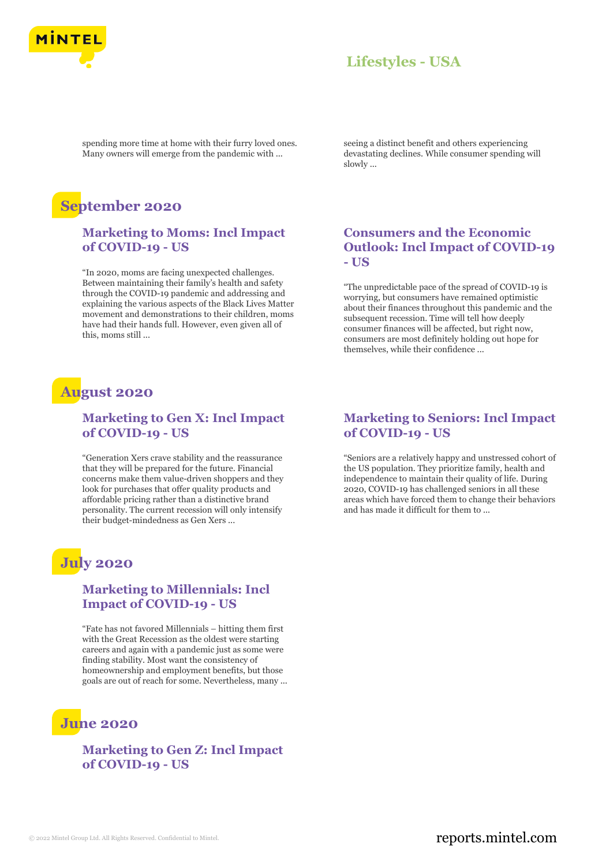

### **Lifestyles - USA**

spending more time at home with their furry loved ones. Many owners will emerge from the pandemic with ...

# **September 2020**

### **Marketing to Moms: Incl Impact of COVID-19 - US**

"In 2020, moms are facing unexpected challenges. Between maintaining their family's health and safety through the COVID-19 pandemic and addressing and explaining the various aspects of the Black Lives Matter movement and demonstrations to their children, moms have had their hands full. However, even given all of this, moms still ...

## **August 2020**

### **Marketing to Gen X: Incl Impact of COVID-19 - US**

"Generation Xers crave stability and the reassurance that they will be prepared for the future. Financial concerns make them value-driven shoppers and they look for purchases that offer quality products and affordable pricing rather than a distinctive brand personality. The current recession will only intensify their budget-mindedness as Gen Xers ...

# **July 2020**

### **Marketing to Millennials: Incl Impact of COVID-19 - US**

"Fate has not favored Millennials – hitting them first with the Great Recession as the oldest were starting careers and again with a pandemic just as some were finding stability. Most want the consistency of homeownership and employment benefits, but those goals are out of reach for some. Nevertheless, many ...

# **June 2020**

**Marketing to Gen Z: Incl Impact of COVID-19 - US**

seeing a distinct benefit and others experiencing devastating declines. While consumer spending will slowly ...

### **Consumers and the Economic Outlook: Incl Impact of COVID-19 - US**

"The unpredictable pace of the spread of COVID-19 is worrying, but consumers have remained optimistic about their finances throughout this pandemic and the subsequent recession. Time will tell how deeply consumer finances will be affected, but right now, consumers are most definitely holding out hope for themselves, while their confidence ...

### **Marketing to Seniors: Incl Impact of COVID-19 - US**

"Seniors are a relatively happy and unstressed cohort of the US population. They prioritize family, health and independence to maintain their quality of life. During 2020, COVID-19 has challenged seniors in all these areas which have forced them to change their behaviors and has made it difficult for them to ...